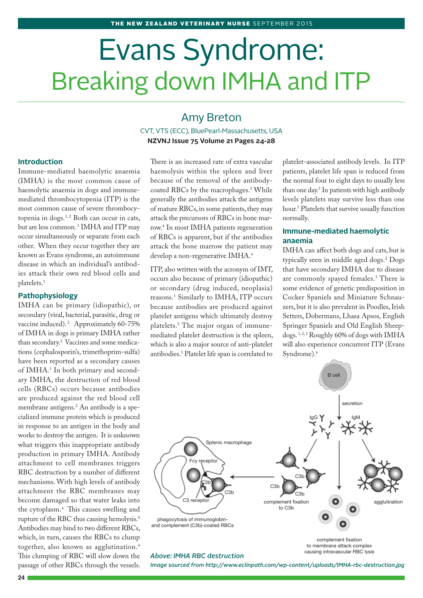# Evans Syndrome: Breaking down IMHA and ITP

# Amy Breton

CVT, VTS (ECC), BluePearl-Massachusetts, USA **NZVNJ Issue 75 Volume 21 Pages 24-28**

# **Introduction**

Immune-mediated haemolytic anaemia (IMHA) is the most common cause of haemolytic anaemia in dogs and immunemediated thrombocytopenia (ITP) is the most common cause of severe thrombocytopenia in dogs.<sup>1,2</sup> Both can occur in cats, but are less common.<sup>1</sup> IMHA and ITP may occur simultaneously or separate from each other. When they occur together they are known as Evans syndrome, an autoimmune disease in which an individual's antibodies attack their own red blood cells and platelets.1

#### **Pathophysiology**

IMHA can be primary (idiopathic), or secondary (viral, bacterial, parasitic, drug or vaccine induced).<sup>2</sup> Approximately 60-75% of IMHA in dogs is primary IMHA rather than secondary.2 Vaccines and some medications (cephalosporin's, trimethoprim-sulfa) have been reported as a secondary causes of IMHA.<sup>1</sup> In both primary and secondary IMHA, the destruction of red blood cells (RBCs) occurs because antibodies are produced against the red blood cell membrane antigens.2 An antibody is a specialized immune protein which is produced in response to an antigen in the body and works to destroy the antigen. It is unknown what triggers this inappropriate antibody production in primary IMHA. Antibody attachment to cell membranes triggers RBC destruction by a number of different mechanisms. With high levels of antibody attachment the RBC membranes may become damaged so that water leaks into the cytoplasm.4 This causes swelling and rupture of the RBC thus causing hemolysis.4 Antibodies may bind to two different RBCs, which, in turn, causes the RBCs to clump together, also known as agglutination.4 This clumping of RBC will slow down the passage of other RBCs through the vessels.

There is an increased rate of extra vascular haemolysis within the spleen and liver because of the removal of the antibodycoated RBCs by the macrophages.<sup>3</sup> While generally the antibodies attack the antigens of mature RBCs, in some patients, they may attack the precursors of RBCs in bone marrow.4 In most IMHA patients regeneration of RBCs is apparent, but if the antibodies attack the bone marrow the patient may develop a non-regenerative IMHA.4

ITP, also written with the acronym of IMT, occurs also because of primary (idiopathic) or secondary (drug induced, neoplasia) reasons.1 Similarly to IMHA, ITP occurs because antibodies are produced against platelet antigens which ultimately destroy platelets.3 The major organ of immunemediated platelet destruction is the spleen, which is also a major source of anti-platelet antibodies.5 Platelet life span is correlated to

platelet-associated antibody levels. In ITP patients, platelet life span is reduced from the normal four to eight days to usually less than one day.5 In patients with high antibody levels platelets may survive less than one hour.5 Platelets that survive usually function normally.

# **Immune-mediated haemolytic anaemia**

IMHA can affect both dogs and cats, but is typically seen in middle aged dogs.2 Dogs that have secondary IMHA due to disease are commonly spayed females.3 There is some evidence of genetic predisposition in Cocker Spaniels and Miniature Schnauzers, but it is also prevalent in Poodles, Irish Setters, Dobermans, Lhasa Apsos, English Springer Spaniels and Old English Sheepdogs.<sup>1,2,3</sup> Roughly 60% of dogs with IMHA will also experience concurrent ITP (Evans Syndrome).<sup>6</sup>



*Image sourced from http://www.eclinpath.com/wp-content/uploads/IMHA-rbc-destruction.jpg*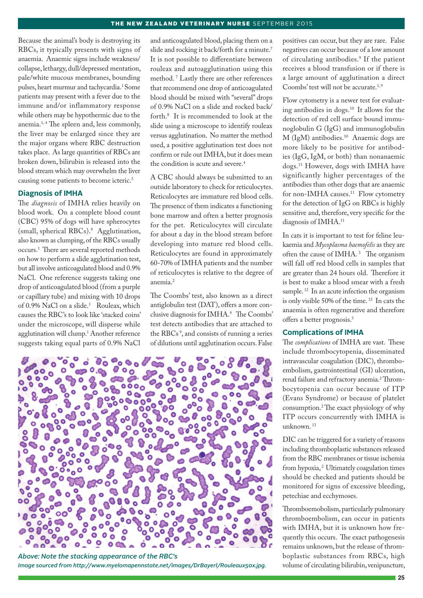Because the animal's body is destroying its RBCs, it typically presents with signs of anaemia. Anaemic signs include weakness/ collapse, lethargy, dull/depressed mentation, pale/white mucous membranes, bounding pulses, heart murmur and tachycardia.1 Some patients may present with a fever due to the immune and/or inflammatory response while others may be hypothermic due to the anemia.<sup>1,4</sup> The spleen and, less commonly, the liver may be enlarged since they are the major organs where RBC destruction takes place. As large quantities of RBCs are broken down, bilirubin is released into the blood stream which may overwhelm the liver causing some patients to become icteric.<sup>5</sup>

#### **Diagnosis of IMHA**

The *diagnosis* of IMHA relies heavily on blood work. On a complete blood count (CBC) 95% of dogs will have spherocytes (small, spherical RBCs).9 Agglutination, also known as clumping, of the RBCs usually occurs.1 There are several reported methods on how to perform a slide agglutination test, but all involve anticoagulated blood and 0.9% NaCl. One reference suggests taking one drop of anticoagulated blood (from a purple or capillary tube) and mixing with 10 drops of 0.9% NaCl on a slide.<sup>1</sup> Rouleax, which causes the RBC's to look like 'stacked coins' under the microscope, will disperse while agglutination will clump.1 Another reference suggests taking equal parts of 0.9% NaCl

and anticoagulated blood, placing them on a slide and rocking it back/forth for a minute.<sup>7</sup> It is not possible to differentiate between rouleax and autoagglutination using this method. 7 Lastly there are other references that recommend one drop of anticoagulated blood should be mixed with "several" drops of 0.9% NaCl on a slide and rocked back/ forth.8 It is recommended to look at the slide using a microscope to identify rouleax versus agglutination. No matter the method used, a positive agglutination test does not confirm or rule out IMHA, but it does mean the condition is acute and severe.<sup>4</sup>

A CBC should always be submitted to an outside laboratory to check for reticulocytes. Reticulocytes are immature red blood cells. The presence of them indicates a functioning bone marrow and often a better prognosis for the pet. Reticulocytes will circulate for about a day in the blood stream before developing into mature red blood cells. Reticulocytes are found in approximately 60-70% of IMHA patients and the number of reticulocytes is relative to the degree of anemia.<sup>2</sup>

The Coombs' test, also known as a direct antiglobulin test (DAT), offers a more conclusive diagnosis for IMHA.<sup>9</sup> The Coombs' test detects antibodies that are attached to the RBCs<sup>9</sup>, and consists of running a series of dilutions until agglutination occurs. False



*Above: Note the stacking appearance of the RBC's Image sourced from http://www.myelomapennstate.net/images/DrBayerl/Rouleaux50x.jpg.*

positives can occur, but they are rare. False negatives can occur because of a low amount of circulating antibodies.9 If the patient receives a blood transfusion or if there is a large amount of agglutination a direct Coombs' test will not be accurate.<sup>1,9</sup>

Flow cytometry is a newer test for evaluating antibodies in dogs.10 It allows for the detection of red cell surface bound immunoglobulin G (IgG) and immunoglobulin M (IgM) antibodies.10 Anaemic dogs are more likely to be positive for antibodies (IgG, IgM, or both) than nonanaemic dogs.11 However, dogs with IMHA have significantly higher percentages of the antibodies than other dogs that are anaemic for non-IMHA causes.<sup>11</sup> Flow cytometry for the detection of IgG on RBCs is highly sensitive and, therefore, very specific for the diagnosis of IMHA.11

In cats it is important to test for feline leukaemia and *Mycoplasma haemofelis* as they are often the cause of IMHA.<sup>3</sup> The organism will fall off red blood cells in samples that are greater than 24 hours old. Therefore it is best to make a blood smear with a fresh sample.<sup>12</sup> In an acute infection the organism is only visible 50% of the time. 12 In cats the anaemia is often regenerative and therefore offers a better prognosis.3

# **Complications of IMHA**

The *complications* of IMHA are vast. These include thrombocytopenia, disseminated intravascular coagulation (DIC), thromboembolism, gastrointestinal (GI) ulceration, renal failure and refractory anemia.<sup>2</sup> Thrombocytopenia can occur because of ITP (Evans Syndrome) or because of platelet consumption.2 The exact physiology of why ITP occurs concurrently with IMHA is unknown. 13

DIC can be triggered for a variety of reasons including thromboplastic substances released from the RBC membranes or tissue ischemia from hypoxia,<sup>2</sup> Ultimately coagulation times should be checked and patients should be monitored for signs of excessive bleeding, petechiae and ecchymoses.

Thromboemobolism, particularly pulmonary thromboembolism, can occur in patients with IMHA, but it is unknown how frequently this occurs. The exact pathogenesis remains unknown, but the release of thromboplastic substances from RBCs, high volume of circulating bilirubin, venipuncture,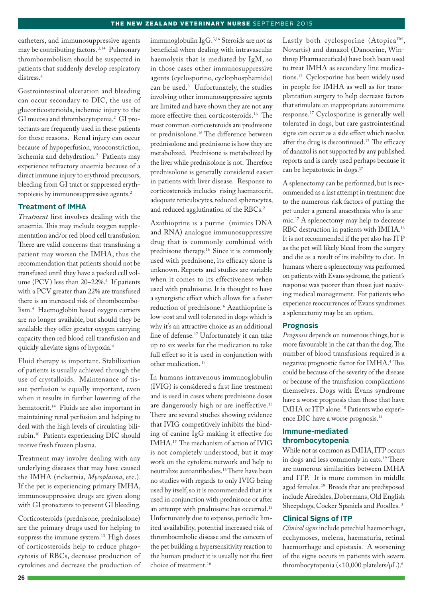catheters, and immunosuppressive agents may be contributing factors. 2,14 Pulmonary thromboembolism should be suspected in patients that suddenly develop respiratory distress.4

Gastrointestinal ulceration and bleeding can occur secondary to DIC, the use of glucorticosterioids, ischemic injury to the GI mucosa and thrombocytopenia.2 GI protectants are frequently used in these patients for these reasons. Renal injury can occur because of hypoperfusion, vasoconstriction, ischemia and dehydration.2 Patients may experience refractory anaemia because of a direct immune injury to erythroid precursors, bleeding from GI tract or suppressed erythropoiesis by immunosuppressive agents.2

# **Treatment of IMHA**

*Treatment* first involves dealing with the anaemia. This may include oxygen supplementation and/or red blood cell transfusion. There are valid concerns that transfusing a patient may worsen the IMHA, thus the recommendation that patients should not be transfused until they have a packed cell volume (PCV) less than 20–22%.4 If patients with a PCV greater than 22% are transfused there is an increased risk of thromboembolism.4 Haemoglobin based oxygen carriers are no longer available, but should they be available they offer greater oxygen carrying capacity then red blood cell transfusion and quickly alleviate signs of hypoxia.4

Fluid therapy is important. Stabilization of patients is usually achieved through the use of crystalloids. Maintenance of tissue perfusion is equally important, even when it results in further lowering of the hematocrit.<sup>14</sup> Fluids are also important in maintaining renal perfusion and helping to deal with the high levels of circulating bilirubin.10 Patients experiencing DIC should receive fresh frozen plasma.

Treatment may involve dealing with any underlying diseases that may have caused the IMHA (rickettsia, *Mycoplasma*, etc.). If the pet is experiencing primary IMHA, immunosuppressive drugs are given along with GI protectants to prevent GI bleeding.

Corticosteroids (prednisone, prednisolone) are the primary drugs used for helping to suppress the immune system.<sup>13</sup> High doses of corticosteroids help to reduce phagocytosis of RBCs, decrease production of cytokines and decrease the production of immunoglobulin IgG.3,16 Steroids are not as beneficial when dealing with intravascular haemolysis that is mediated by IgM, so in those cases other immunosuppressive agents (cyclosporine, cyclophosphamide) can be used.3 Unfortunately, the studies involving other immunosuppressive agents are limited and have shown they are not any more effective then corticosteroids.16 The most common corticosteroids are prednisone or prednisolone.16 The difference between prednisolone and prednisone is how they are metabolized. Prednisone is metabolized by the liver while prednisolone is not. Therefore prednisolone is generally considered easier in patients with liver disease. Response to corticosteroids includes rising haematocrit, adequate reticulocytes, reduced spherocytes, and reduced agglutination of the RBCs.<sup>2</sup>

Azathioprine is a purine (mimics DNA and RNA) analogue immunosuppressive drug that is commonly combined with prednisone therapy.16 Since it is commonly used with prednisone, its efficacy alone is unknown. Reports and studies are variable when it comes to its effectiveness when used with prednisone. It is thought to have a synergistic effect which allows for a faster reduction of prednisone. 6 Azathioprine is low-cost and well tolerated in dogs which is why it's an attractive choice as an additional line of defense.17 Unfortunately it can take up to six weeks for the medication to take full effect so it is used in conjunction with other medication. 17

In humans intravenous immunoglobulin (IVIG) is considered a first line treatment and is used in cases where prednisone doses are dangerously high or are ineffective.<sup>13</sup> There are several studies showing evidence that IVIG competitively inhibits the binding of canine IgG making it effective for IMHA.17 The mechanism of action of IVIG is not completely understood, but it may work on the cytokine network and help to neutralize autoantibodies.16 There have been no studies with regards to only IVIG being used by itself, so it is recommended that it is used in conjunction with prednisone or after an attempt with prednisone has occurred.<sup>13</sup> Unfortunately due to expense, periodic limited availability, potential increased risk of thromboembolic disease and the concern of the pet building a hypersensitivity reaction to the human product it is usually not the first choice of treatment.16

Lastly both cyclosporine (Atopica™, Novartis) and danazol (Danocrine, Winthrop Pharmaceuticals) have both been used to treat IMHA as secondary line medications.17 Cyclosporine has been widely used in people for IMHA as well as for transplantation surgery to help decrease factors that stimulate an inappropriate autoimmune response.17 Cyclosporine is generally well tolerated in dogs, but rare gastrointestinal signs can occur as a side effect which resolve after the drug is discontinued.17 The efficacy of danazol is not supported by any published reports and is rarely used perhaps because it can be hepatotoxic in dogs.17

A splenectomy can be performed, but is recommended as a last attempt in treatment due to the numerous risk factors of putting the pet under a general anaesthesia who is anemic.17 A splenectomy may help to decrease RBC destruction in patients with IMHA.16 It is not recommended if the pet also has ITP as the pet will likely bleed from the surgery and die as a result of its inability to clot. In humans where a splenectomy was performed on patients with Evans sydrome, the patient's response was poorer than those just receiving medical management. For patients who experience reoccurrences of Evans syndromes a splenectomy may be an option.

#### **Prognosis**

*Prognosis* depends on numerous things, but is more favourable in the cat than the dog. The number of blood transfusions required is a negative prognostic factor for IMHA.4 This could be because of the severity of the disease or because of the transfusion complications themselves. Dogs with Evans syndrome have a worse prognosis than those that have IMHA or ITP alone.18 Patients who experience DIC have a worse prognosis.<sup>14</sup>

# **Immune-mediated thrombocytopenia**

While not as common as IMHA, ITP occurs in dogs and less commonly in cats.19 There are numerous similarities between IMHA and ITP. It is more common in middle aged females. 19 Breeds that are predisposed include Airedales, Dobermans, Old English Sheepdogs, Cocker Spaniels and Poodles. 3

#### **Clinical Signs of ITP**

*Clinical signs* include petechial haemorrhage, ecchymoses, melena, haematuria, retinal haemorrhage and epistaxis. A worsening of the signs occurs in patients with severe thrombocytopenia (<10,000 platelets/µL).6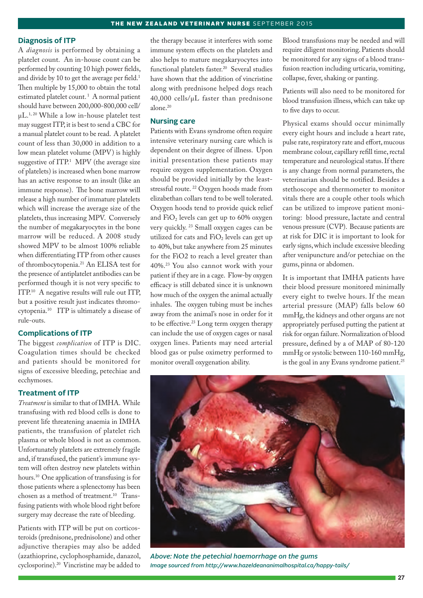#### **Diagnosis of ITP**

A *diagnosis* is performed by obtaining a platelet count. An in-house count can be performed by counting 10 high power fields, and divide by 10 to get the average per field.<sup>1</sup> Then multiple by 15,000 to obtain the total estimated platelet count.<sup>1</sup> A normal patient should have between 200,000-800,000 cell/ µL.1, 20 While a low in-house platelet test may suggest ITP, it is best to send a CBC for a manual platelet count to be read. A platelet count of less than 30,000 in addition to a low mean platelet volume (MPV) is highly suggestive of  $ITP<sup>1</sup>$  MPV (the average size of platelets) is increased when bone marrow has an active response to an insult (like an immune response). The bone marrow will release a high number of immature platelets which will increase the average size of the platelets, thus increasing MPV. Conversely the number of megakaryocytes in the bone marrow will be reduced. A 2008 study showed MPV to be almost 100% reliable when differentiating ITP from other causes of thrombocytopenia.21 An ELISA test for the presence of antiplatelet antibodies can be performed though it is not very specific to ITP.10 A negative results will rule out ITP, but a positive result just indicates thromocytopenia.10 ITP is ultimately a disease of rule-outs.

# **Complications of ITP**

The biggest *complication* of ITP is DIC. Coagulation times should be checked and patients should be monitored for signs of excessive bleeding, petechiae and ecchymoses.

# **Treatment of ITP**

*Treatment* is similar to that of IMHA. While transfusing with red blood cells is done to prevent life threatening anaemia in IMHA patients, the transfusion of platelet rich plasma or whole blood is not as common. Unfortunately platelets are extremely fragile and, if transfused, the patient's immune system will often destroy new platelets within hours.10 One application of transfusing is for those patients where a splenectomy has been chosen as a method of treatment.<sup>10</sup> Transfusing patients with whole blood right before surgery may decrease the rate of bleeding.

Patients with ITP will be put on corticosteroids (prednisone, prednisolone) and other adjunctive therapies may also be added (azathioprine, cyclophosphamide, danazol, cyclosporine).20 Vincristine may be added to the therapy because it interferes with some immune system effects on the platelets and also helps to mature megakaryocytes into functional platelets faster.<sup>20</sup> Several studies have shown that the addition of vincristine along with prednisone helped dogs reach 40,000 cells/µL faster than prednisone alone.20

# **Nursing care**

Patients with Evans syndrome often require intensive veterinary nursing care which is dependent on their degree of illness. Upon initial presentation these patients may require oxygen supplementation. Oxygen should be provided initially by the leaststressful route. <sup>22</sup> Oxygen hoods made from elizabethan collars tend to be well tolerated. Oxygen hoods tend to provide quick relief and  $FiO<sub>2</sub>$  levels can get up to 60% oxygen very quickly. 23 Small oxygen cages can be utilized for cats and  $FiO<sub>2</sub>$  levels can get up to 40%, but take anywhere from 25 minutes for the FiO2 to reach a level greater than 40%.23 You also cannot work with your patient if they are in a cage. Flow-by oxygen efficacy is still debated since it is unknown how much of the oxygen the animal actually inhales. The oxygen tubing must be inches away from the animal's nose in order for it to be effective.<sup>23</sup> Long term oxygen therapy can include the use of oxygen cages or nasal oxygen lines. Patients may need arterial blood gas or pulse oximetry performed to monitor overall oxygenation ability.

Blood transfusions may be needed and will require diligent monitoring. Patients should be monitored for any signs of a blood transfusion reaction including urticaria, vomiting, collapse, fever, shaking or panting.

Patients will also need to be monitored for blood transfusion illness, which can take up to five days to occur.

Physical exams should occur minimally every eight hours and include a heart rate, pulse rate, respiratory rate and effort, mucous membrane colour, capillary refill time, rectal temperature and neurological status. If there is any change from normal parameters, the veterinarian should be notified. Besides a stethoscope and thermometer to monitor vitals there are a couple other tools which can be utilized to improve patient monitoring: blood pressure, lactate and central venous pressure (CVP). Because patients are at risk for DIC it is important to look for early signs, which include excessive bleeding after venipuncture and/or petechiae on the gums, pinna or abdomen.

It is important that IMHA patients have their blood pressure monitored minimally every eight to twelve hours. If the mean arterial pressure (MAP) falls below 60 mmHg, the kidneys and other organs are not appropriately perfused putting the patient at risk for organ failure. Normalization of blood pressure, defined by a of MAP of 80-120 mmHg or systolic between 110-160 mmHg, is the goal in any Evans syndrome patient.<sup>25</sup>



*Above: Note the petechial haemorrhage on the gums Image sourced from http://www.hazeldeananimalhospital.ca/happy-tails/*